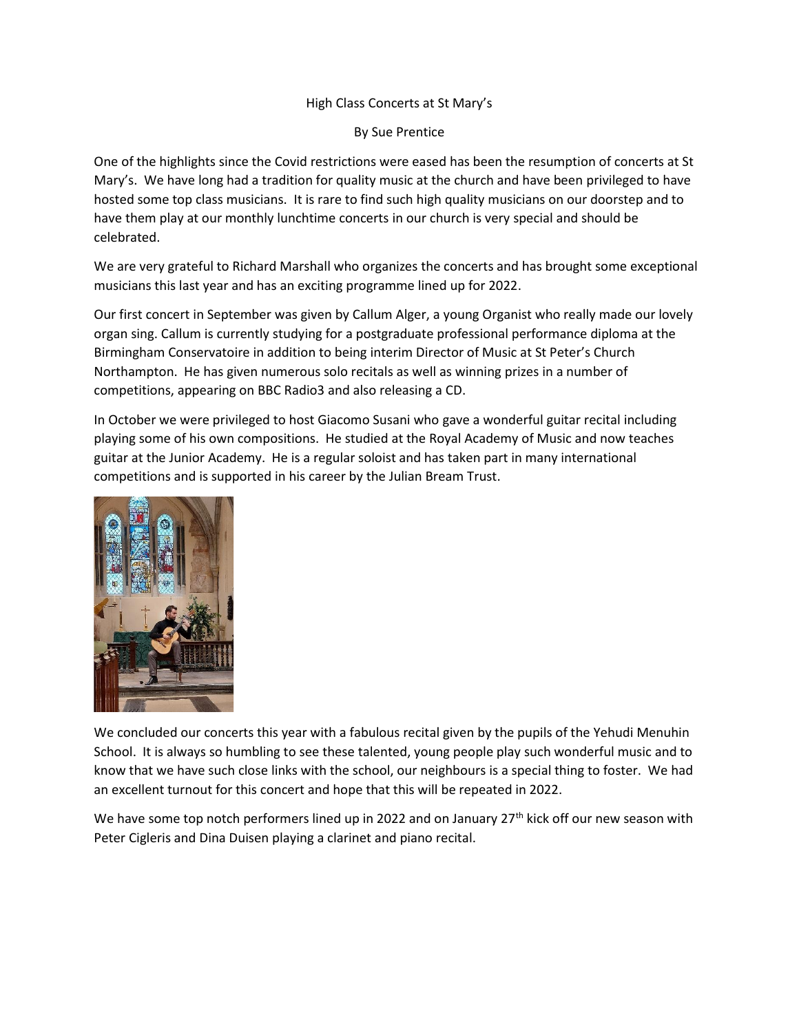## High Class Concerts at St Mary's

By Sue Prentice

One of the highlights since the Covid restrictions were eased has been the resumption of concerts at St Mary's. We have long had a tradition for quality music at the church and have been privileged to have hosted some top class musicians. It is rare to find such high quality musicians on our doorstep and to have them play at our monthly lunchtime concerts in our church is very special and should be celebrated.

We are very grateful to Richard Marshall who organizes the concerts and has brought some exceptional musicians this last year and has an exciting programme lined up for 2022.

Our first concert in September was given by Callum Alger, a young Organist who really made our lovely organ sing. Callum is currently studying for a postgraduate professional performance diploma at the Birmingham Conservatoire in addition to being interim Director of Music at St Peter's Church Northampton. He has given numerous solo recitals as well as winning prizes in a number of competitions, appearing on BBC Radio3 and also releasing a CD.

In October we were privileged to host Giacomo Susani who gave a wonderful guitar recital including playing some of his own compositions. He studied at the Royal Academy of Music and now teaches guitar at the Junior Academy. He is a regular soloist and has taken part in many international competitions and is supported in his career by the Julian Bream Trust.



We concluded our concerts this year with a fabulous recital given by the pupils of the Yehudi Menuhin School. It is always so humbling to see these talented, young people play such wonderful music and to know that we have such close links with the school, our neighbours is a special thing to foster. We had an excellent turnout for this concert and hope that this will be repeated in 2022.

We have some top notch performers lined up in 2022 and on January  $27<sup>th</sup>$  kick off our new season with Peter Cigleris and Dina Duisen playing a clarinet and piano recital.